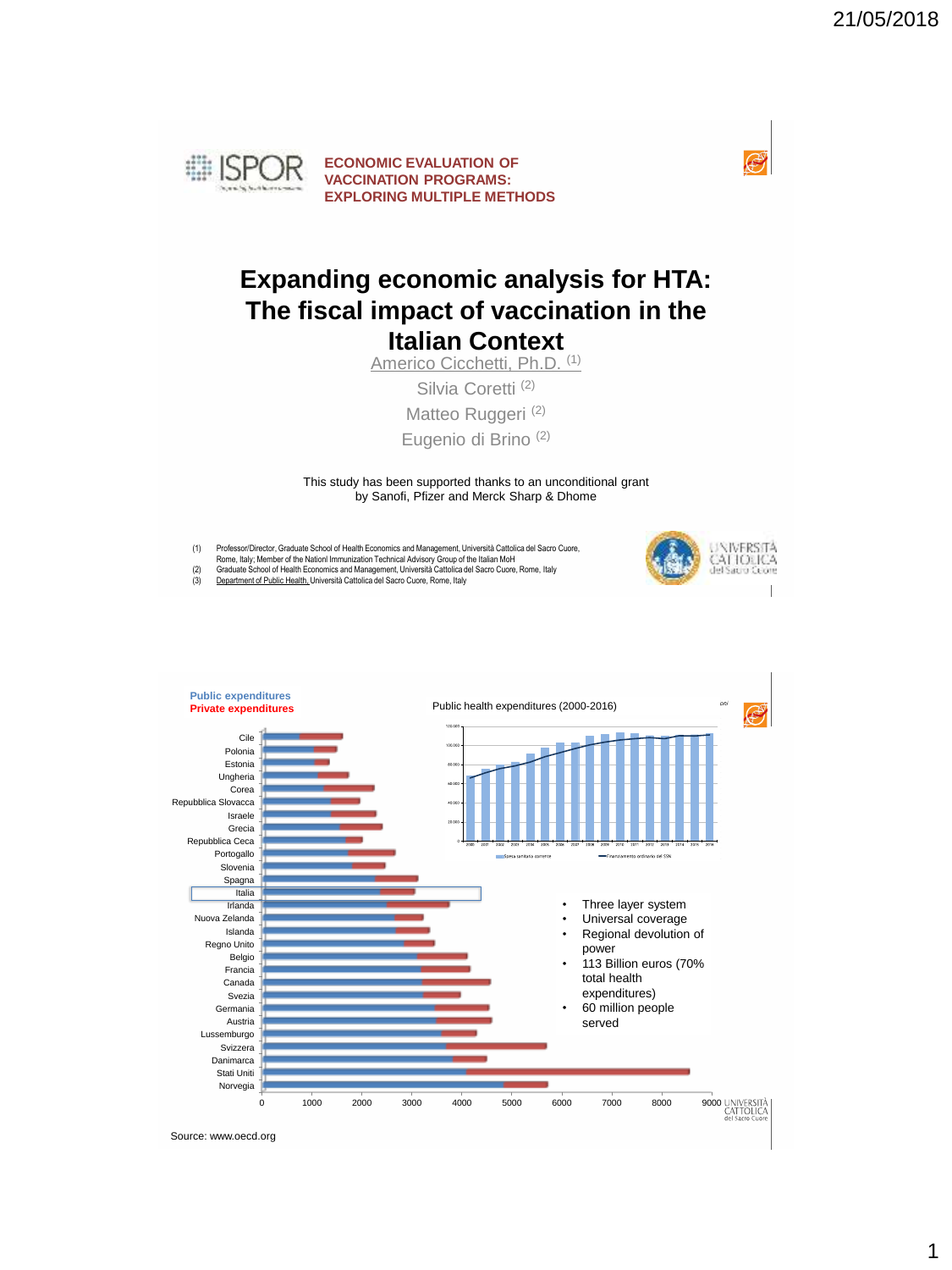

#### **Expanding economic analysis for HTA: The fiscal impact of vaccination in the Italian Context**

Americo Cicchetti, Ph.D. (1)

Silvia Coretti<sup>(2)</sup> Matteo Ruggeri (2) Eugenio di Brino (2)

This study has been supported thanks to an unconditional grant by Sanofi, Pfizer and Merck Sharp & Dhome

- (1) Professor/Director, Graduate School of Health Economics and Management, Università Cattolica del Sacro Cuore, Rome, Italy; Member of the Nationl Immunization Technical Advisory Group of the ItalianMoH
- 

(2) Graduate School of Health Economics and Management, Università Cattolica del Sacro Cuore, Rome, Italy<br>(3) <u>Department of Public Health, </u>Università Cattolica del Sacro Cuore, Rome, Italy





Source: www.oecd.org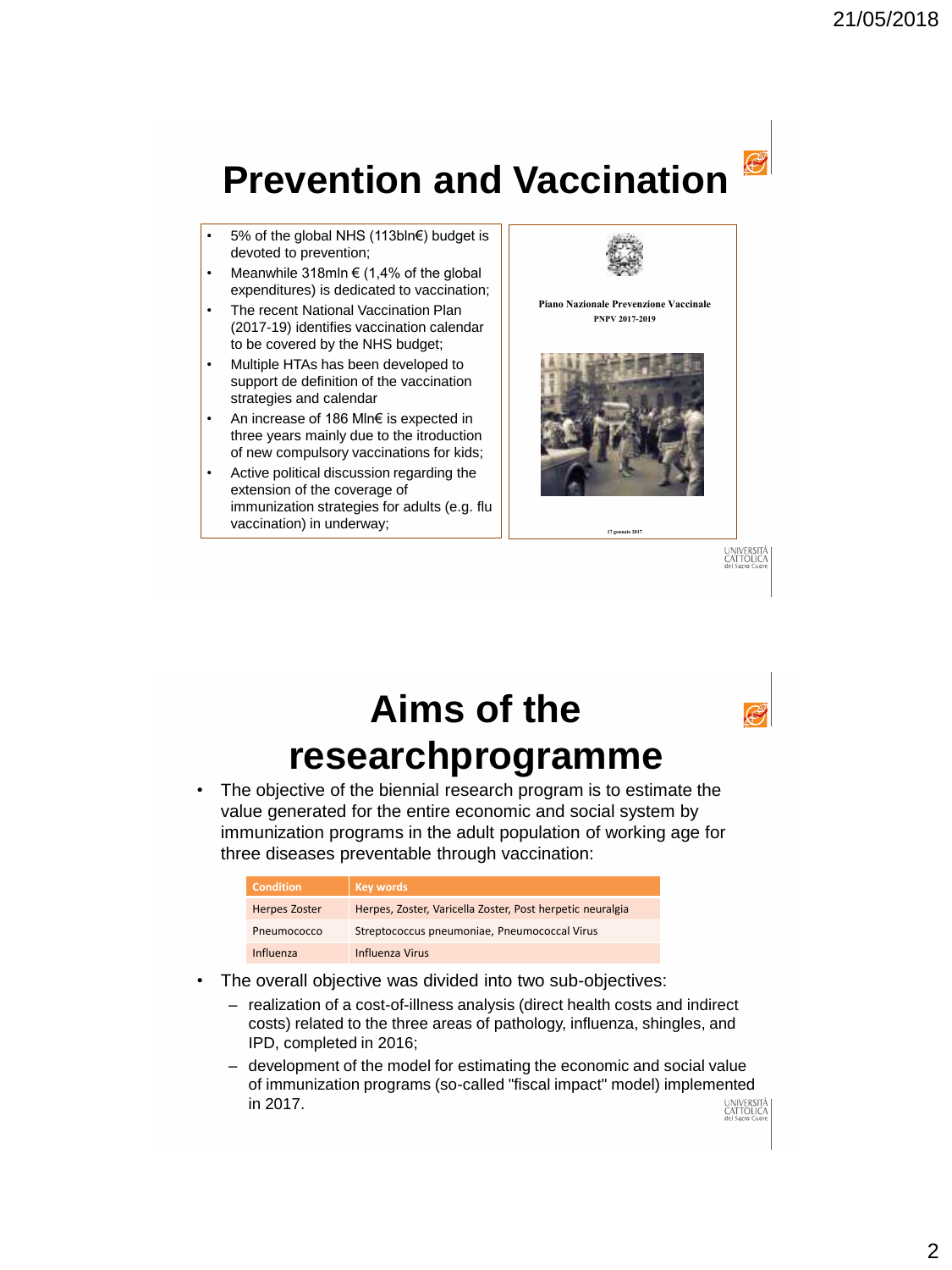# **Prevention and Vaccination**

- 5% of the global NHS (113bln€) budget is devoted to prevention;
- Meanwhile  $318$ mln  $\in$  (1,4% of the global expenditures) is dedicated to vaccination;
- The recent National Vaccination Plan (2017-19) identifies vaccination calendar to be covered by the NHS budget;
- Multiple HTAs has been developed to support de definition of the vaccination strategies and calendar
- An increase of 186 Mln€ is expected in three years mainly due to the itroduction of new compulsory vaccinations for kids;
- Active political discussion regarding the extension of the coverage of immunization strategies for adults (e.g. flu vaccination) in underway;





• The objective of the biennial research program is to estimate the value generated for the entire economic and social system by immunization programs in the adult population of working age for three diseases preventable through vaccination:

| <b>Condition</b>     | <b>Key words</b>                                          |
|----------------------|-----------------------------------------------------------|
| <b>Herpes Zoster</b> | Herpes, Zoster, Varicella Zoster, Post herpetic neuralgia |
| Pneumococco          | Streptococcus pneumoniae, Pneumococcal Virus              |
| Influenza            | Influenza Virus                                           |

- The overall objective was divided into two sub-objectives:
	- realization of a cost-of-illness analysis (direct health costs and indirect costs) related to the three areas of pathology, influenza, shingles, and IPD, completed in 2016;
	- development of the model for estimating the economic and social value of immunization programs (so-called "fiscal impact" model) implemented in 2017. università<br>Cattolica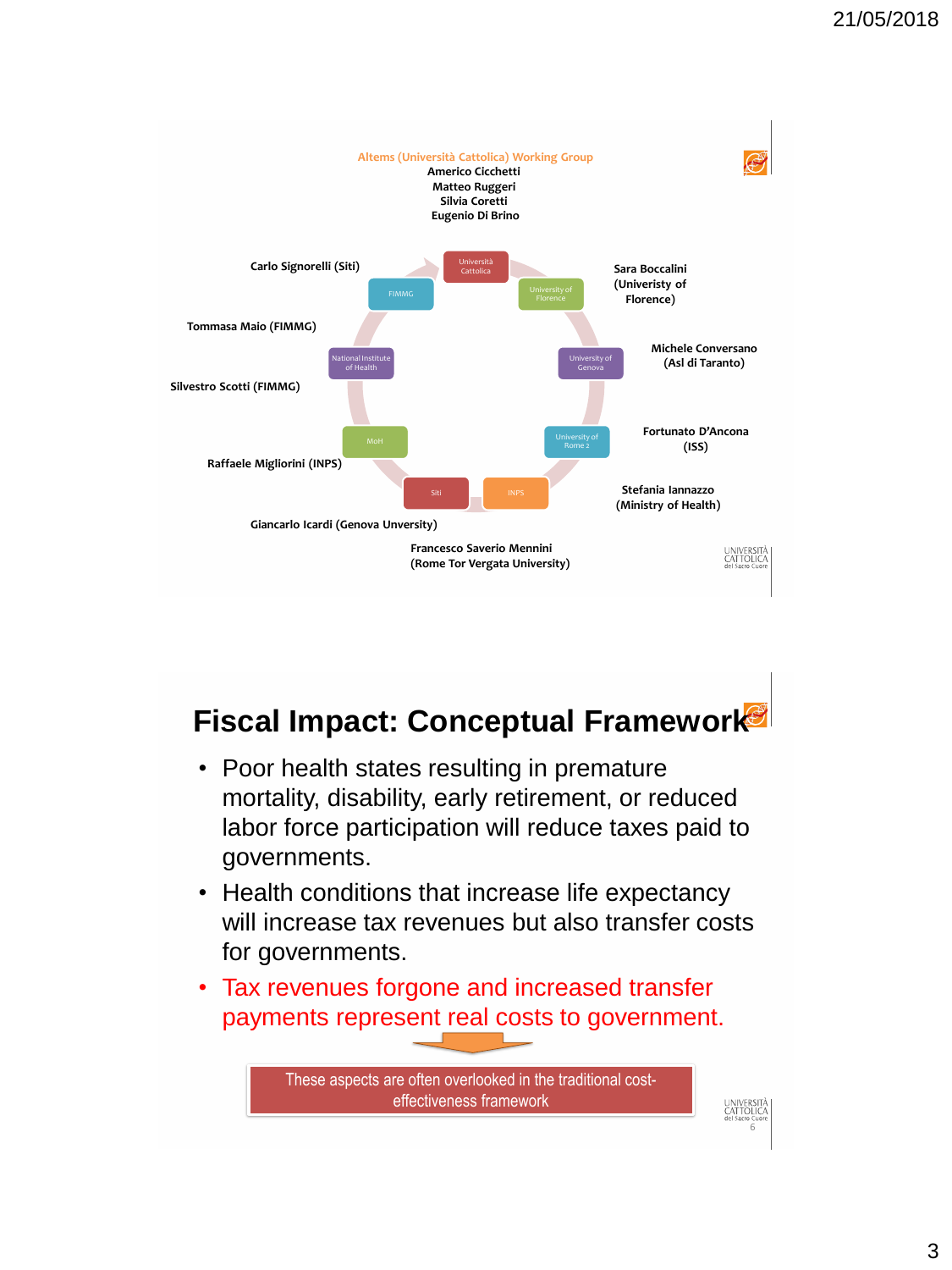

### **Fiscal Impact: Conceptual Framework**

- Poor health states resulting in premature mortality, disability, early retirement, or reduced labor force participation will reduce taxes paid to governments.
- Health conditions that increase life expectancy will increase tax revenues but also transfer costs for governments.
- Tax revenues forgone and increased transfer payments represent real costs to government.

These aspects are often overlooked in the traditional costeffectiveness framework

6

universitä<br>Cattouca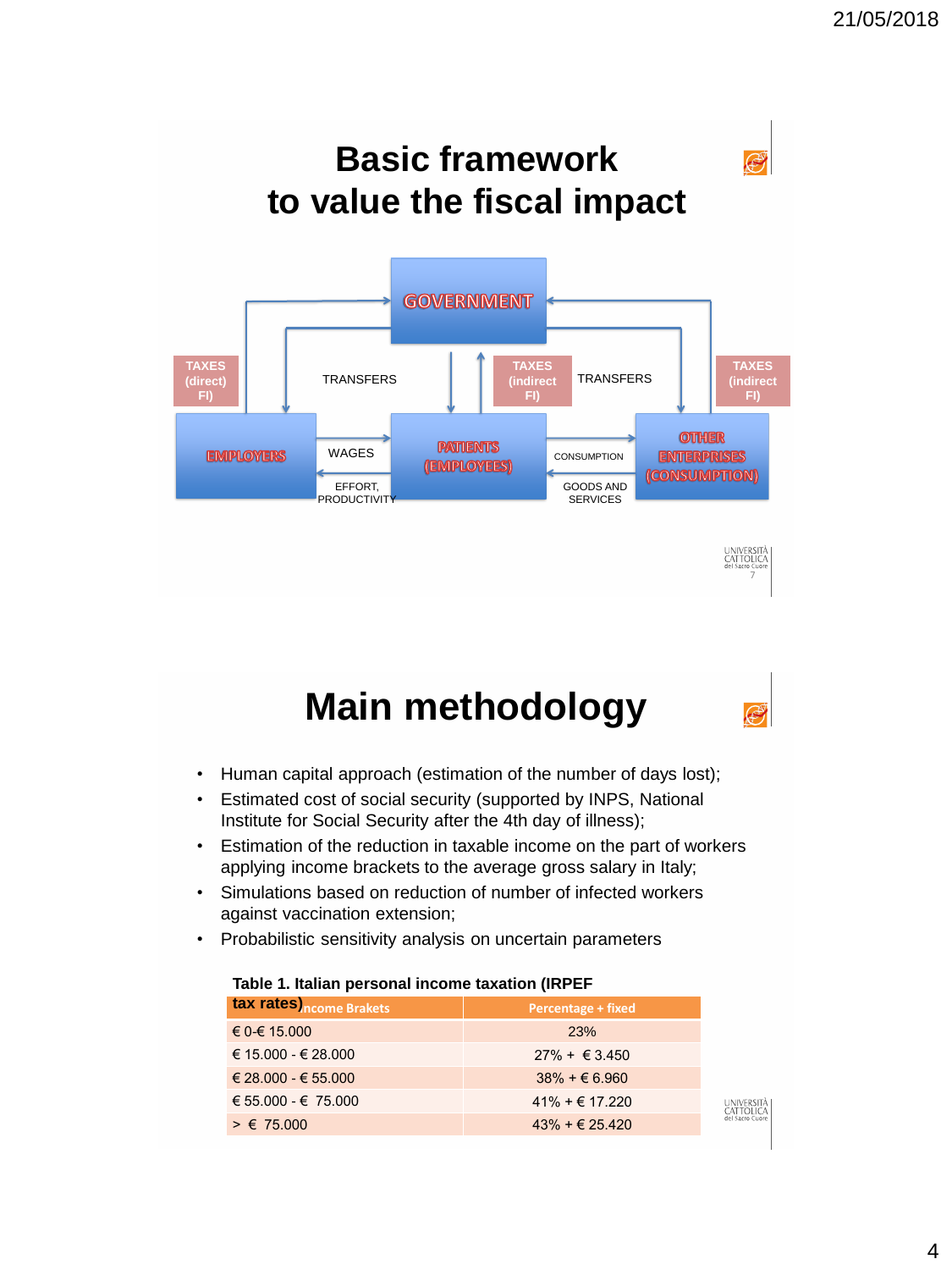

## **Main methodology**

- Human capital approach (estimation of the number of days lost);
- Estimated cost of social security (supported by INPS, National Institute for Social Security after the 4th day of illness);
- Estimation of the reduction in taxable income on the part of workers applying income brackets to the average gross salary in Italy;
- Simulations based on reduction of number of infected workers against vaccination extension;
- Probabilistic sensitivity analysis on uncertain parameters

#### **Table 1. Italian personal income taxation (IRPEF**

| tax rates ncome Brakets     | <b>Percentage + fixed</b>           |
|-----------------------------|-------------------------------------|
| € 0-€ 15.000                | <b>23%</b>                          |
| $\in$ 15.000 - $\in$ 28.000 | $27\% + \text{\textsterling}3.450$  |
| $\in$ 28.000 - $\in$ 55.000 | $38\% + \epsilon 6.960$             |
| € 55.000 - € 75.000         | $41\% + \text{€ } 17.220$           |
| $> \epsilon$ 75.000         | $43\% + \text{\textsterling}25.420$ |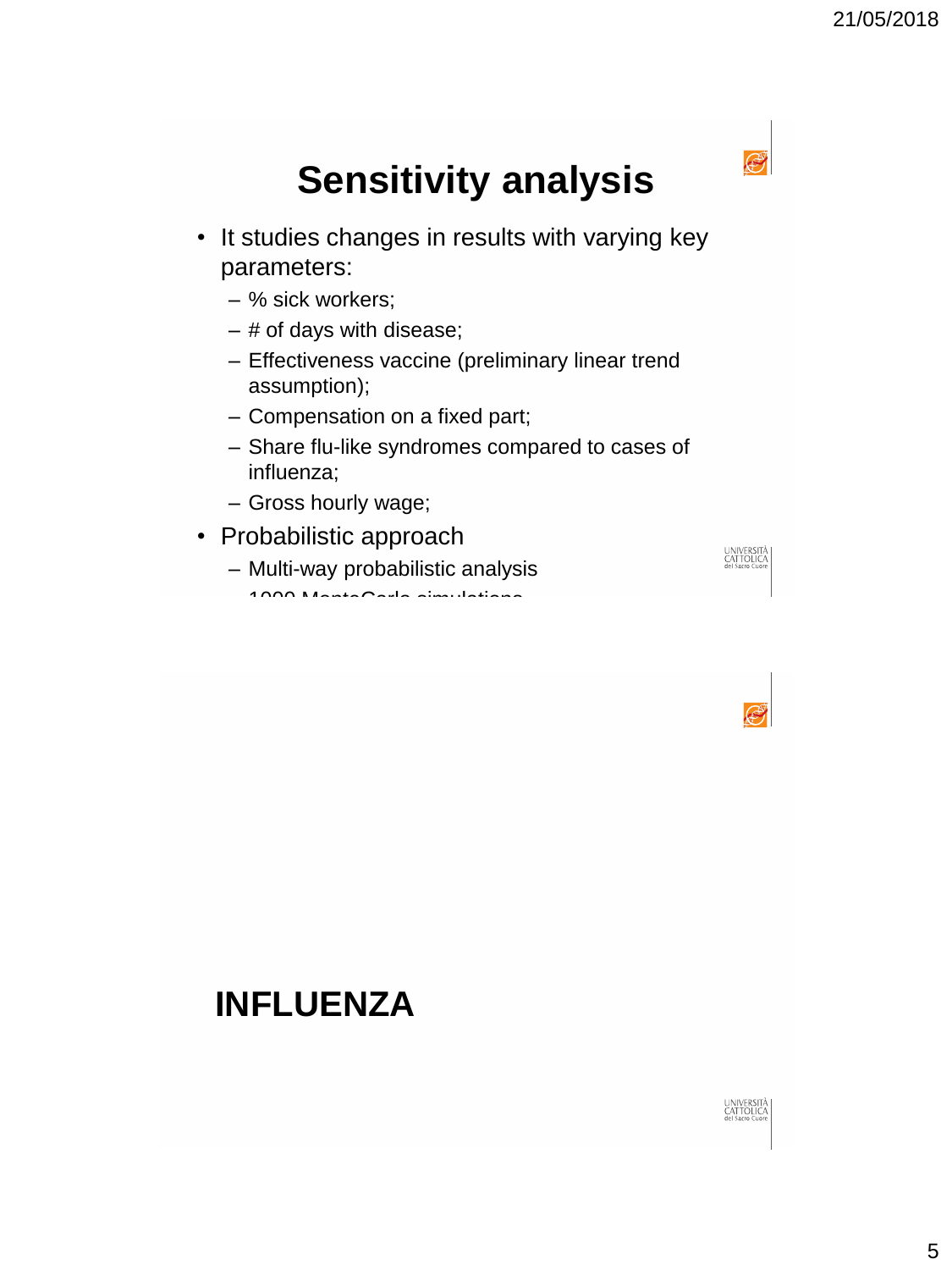

## **Sensitivity analysis**

- It studies changes in results with varying key parameters:
	- % sick workers;
	- # of days with disease;
	- Effectiveness vaccine (preliminary linear trend assumption);
	- Compensation on a fixed part;
	- Share flu-like syndromes compared to cases of influenza;
	- Gross hourly wage;
- Probabilistic approach
	- Multi-way probabilistic analysis – 1000 MonteCarlo simulations





### **INFLUENZA**

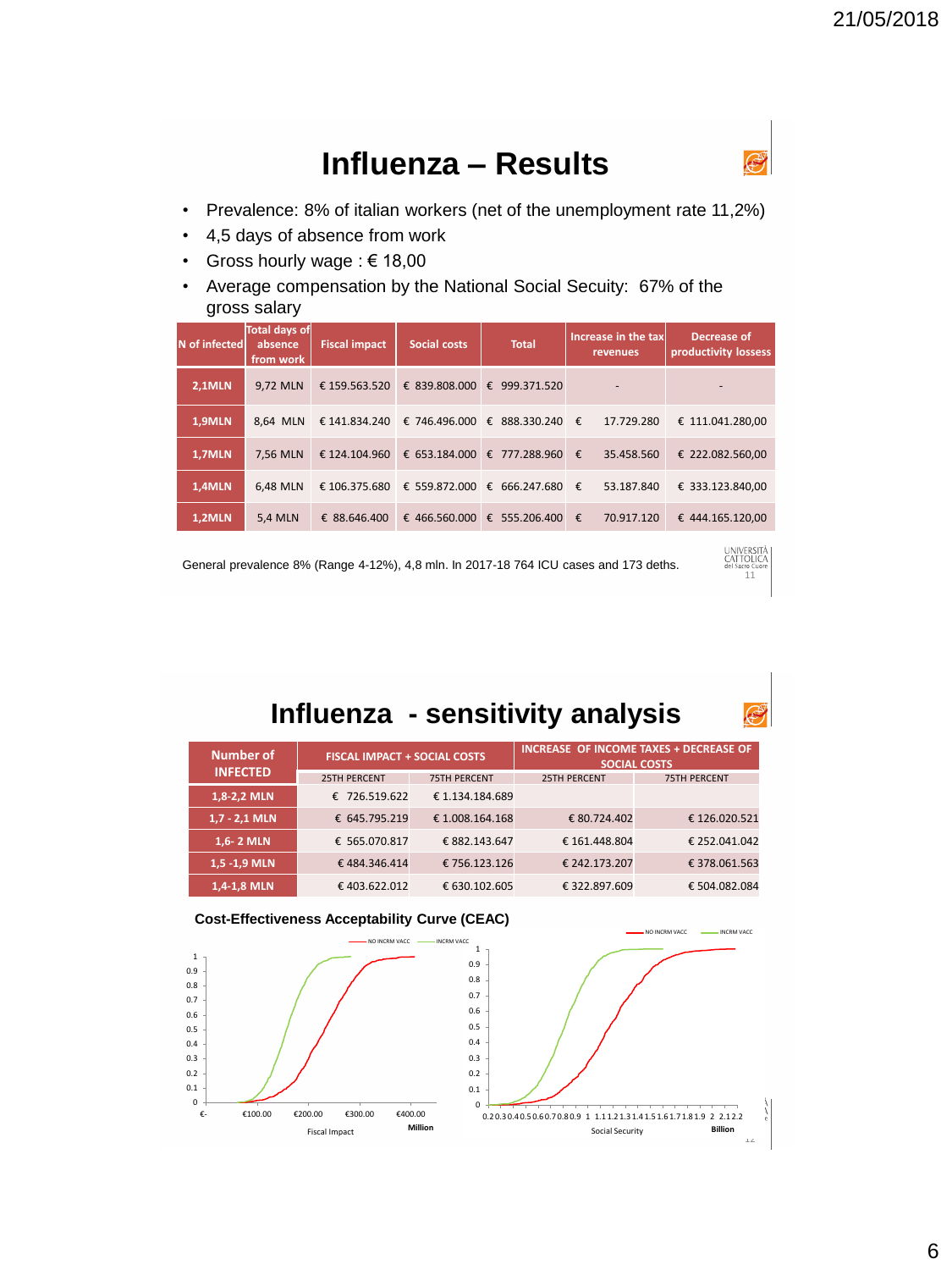#### **Influenza – Results**



...<br>11

UNIVERSITÀ<br>CATTOLICA

- Prevalence: 8% of italian workers (net of the unemployment rate 11,2%)
- 4,5 days of absence from work
- Gross hourly wage : € 18,00
- Average compensation by the National Social Secuity: 67% of the gross salary

| N of infected | Total days of<br>absence<br>from work | <b>Fiscal impact</b> | Social costs                  | <b>Total</b>                  | Increase in the tax<br>revenues | Decrease of<br>productivity lossess |
|---------------|---------------------------------------|----------------------|-------------------------------|-------------------------------|---------------------------------|-------------------------------------|
| <b>2,1MLN</b> | 9.72 MLN                              | € 159.563.520        | € 839.808.000 €               | 999.371.520                   |                                 | ۰                                   |
| 1,9MLN        | 8.64 MLN                              |                      | € 141.834.240 € 746.496.000 € | 888.330.240 €                 | 17.729.280                      | € 111.041.280.00                    |
| 1,7MLN        | 7,56 MLN                              | € 124.104.960        |                               | € 653.184.000 € 777.288.960 € | 35.458.560                      | € 222.082.560,00                    |
| 1,4MLN        | 6.48 MLN                              | € 106.375.680        | € 559.872.000 €               | 666.247.680 €                 | 53.187.840                      | € 333.123.840.00                    |
| 1,2MLN        | <b>5,4 MLN</b>                        | € 88.646.400         |                               | € 466.560.000 € 555.206.400 € | 70.917.120                      | € 444.165.120.00                    |

General prevalence 8% (Range 4-12%), 4,8 mln. In 2017-18 764 ICU cases and 173 deths.

#### **Influenza - sensitivity analysis**

| <b>Number of</b> | <b>FISCAL IMPACT + SOCIAL COSTS</b> |                     |                     | INCREASE OF INCOME TAXES + DECREASE OF<br><b>SOCIAL COSTS</b> |
|------------------|-------------------------------------|---------------------|---------------------|---------------------------------------------------------------|
| <b>INFECTED</b>  | <b>25TH PERCENT</b>                 | <b>75TH PFRCFNT</b> | <b>25TH PERCENT</b> | <b>75TH PERCENT</b>                                           |
| 1,8-2,2 MLN      | € 726.519.622                       | €1.134.184.689      |                     |                                                               |
| $1,7 - 2,1$ MLN  | € 645.795.219                       | € 1.008.164.168     | € 80.724.402        | €126.020.521                                                  |
| 1,6-2 MLN        | € 565.070.817                       | € 882.143.647       | € 161.448.804       | € 252.041.042                                                 |
| 1,5 -1,9 MLN     | €484.346.414                        | € 756.123.126       | € 242.173.207       | € 378.061.563                                                 |
| 1,4-1,8 MLN      | €403.622.012                        | € 630.102.605       | € 322.897.609       | € 504.082.084                                                 |



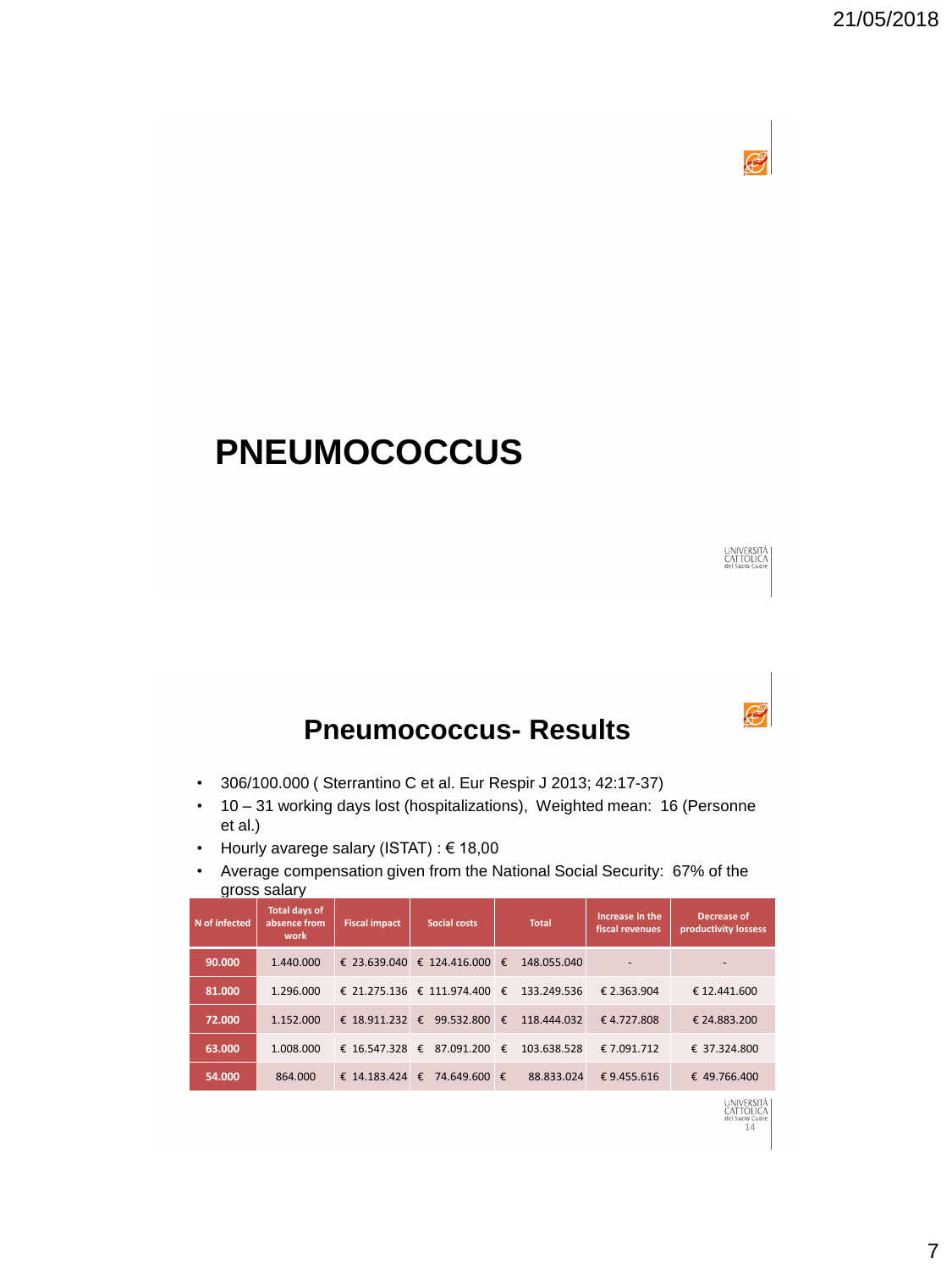

### **PNEUMOCOCCUS**



UNIVERSITÀ<br>CATTOLICA

14

#### **Pneumococcus- Results**

- 306/100.000 ( Sterrantino C et al. Eur Respir J 2013; 42:17-37)
- 10 31 working days lost (hospitalizations), Weighted mean: 16 (Personne et al.)
- Hourly avarege salary (ISTAT) : € 18,00
- Average compensation given from the National Social Security: 67% of the gross salary

| N of infected | Total days of<br>absence from<br>work | <b>Fiscal impact</b> | <b>Social costs</b>          |              | <b>Total</b> | Increase in the<br>fiscal revenues | Decrease of<br>productivity lossess |
|---------------|---------------------------------------|----------------------|------------------------------|--------------|--------------|------------------------------------|-------------------------------------|
| 90.000        | 1.440.000                             |                      | € 23.639.040 € 124.416.000 € |              | 148.055.040  | $\overline{a}$                     | $\overline{\phantom{a}}$            |
| 81.000        | 1.296.000                             |                      | € 21.275.136 € 111.974.400 € |              | 133.249.536  | € 2.363.904                        | € 12.441.600                        |
| 72.000        | 1.152.000                             | € 18.911.232 €       | 99.532.800                   | $\mathbf{f}$ | 118,444,032  | €4.727.808                         | € 24.883.200                        |
| 63.000        | 1.008.000                             | € 16.547.328 €       | 87.091.200 $\epsilon$        |              | 103.638.528  | € 7.091.712                        | € 37.324.800                        |
| 54.000        | 864.000                               | € 14.183.424 €       | 74.649.600 €                 |              | 88.833.024   | €9.455.616                         | € 49.766.400                        |
|               |                                       |                      |                              |              |              |                                    | <b>UNIVERSITA</b><br>CATTOLICA      |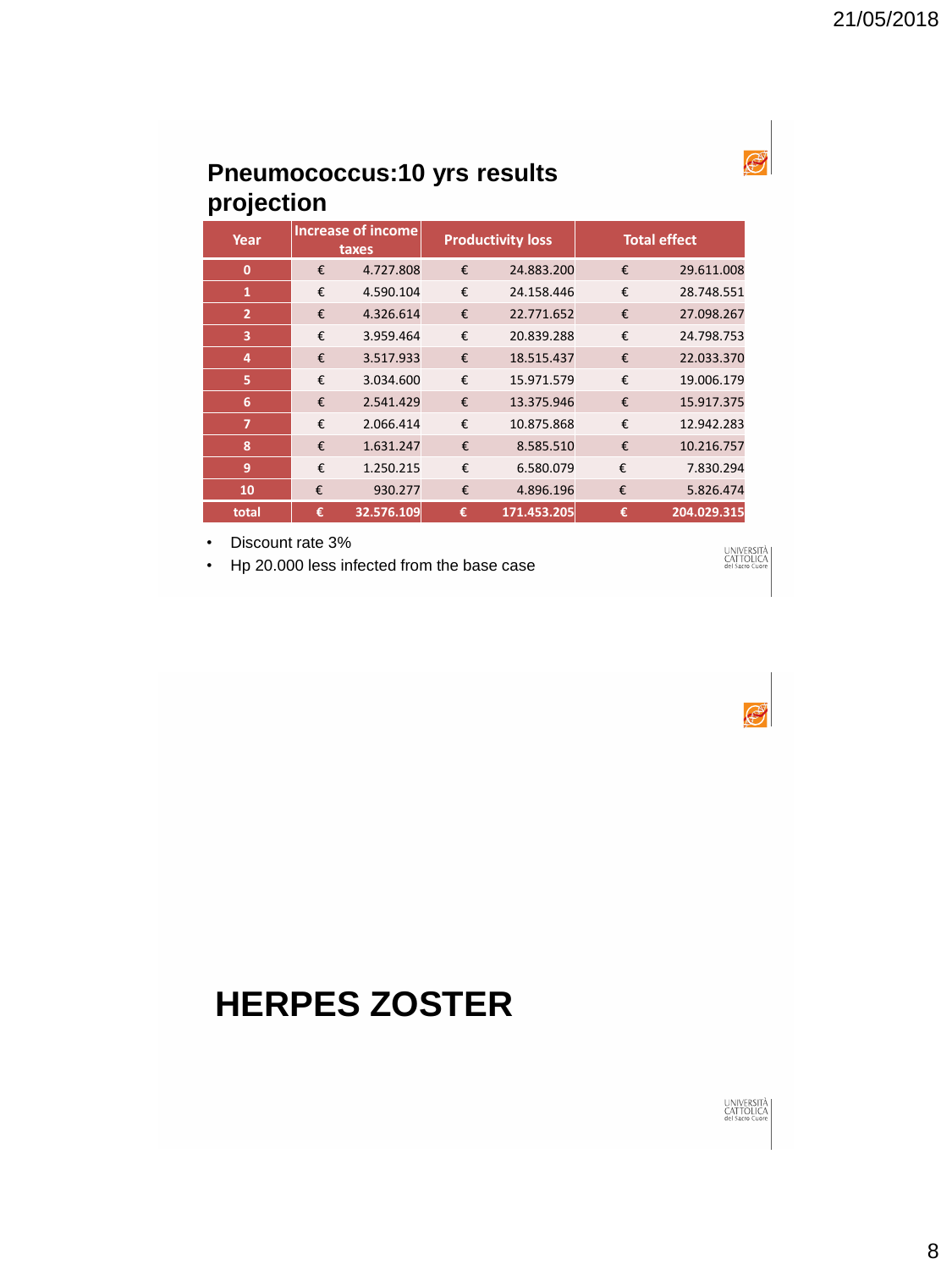#### **Pneumococcus:10 yrs results projection**

| Year           | <b>Increase of income</b><br>taxes |            | <b>Productivity loss</b> |             | <b>Total effect</b> |             |
|----------------|------------------------------------|------------|--------------------------|-------------|---------------------|-------------|
| $\mathbf 0$    | €                                  | 4.727.808  | €                        | 24.883.200  | €                   | 29.611.008  |
| $\mathbf{1}$   | €                                  | 4.590.104  | €                        | 24.158.446  | €                   | 28.748.551  |
| $\overline{2}$ | €                                  | 4.326.614  | €                        | 22.771.652  | €                   | 27.098.267  |
| 3              | €                                  | 3.959.464  | €                        | 20.839.288  | €                   | 24.798.753  |
| 4              | €                                  | 3.517.933  | €                        | 18.515.437  | €                   | 22.033.370  |
| 5              | €                                  | 3.034.600  | €                        | 15.971.579  | €                   | 19.006.179  |
| 6              | €                                  | 2.541.429  | €                        | 13.375.946  | €                   | 15.917.375  |
| $\overline{7}$ | €                                  | 2.066.414  | €                        | 10.875.868  | €                   | 12.942.283  |
| 8              | €                                  | 1.631.247  | €                        | 8.585.510   | €                   | 10.216.757  |
| 9              | €                                  | 1.250.215  | €                        | 6.580.079   | €                   | 7.830.294   |
| 10             | €                                  | 930.277    | €                        | 4.896.196   | €                   | 5.826.474   |
| total          | €                                  | 32.576.109 | €                        | 171.453.205 | €                   | 204.029.315 |

• Discount rate 3%

• Hp 20.000 less infected from the base case





### **HERPES ZOSTER**

#### UNIVERSITÀ<br>CATTOLICA<br>del Sacro Cuore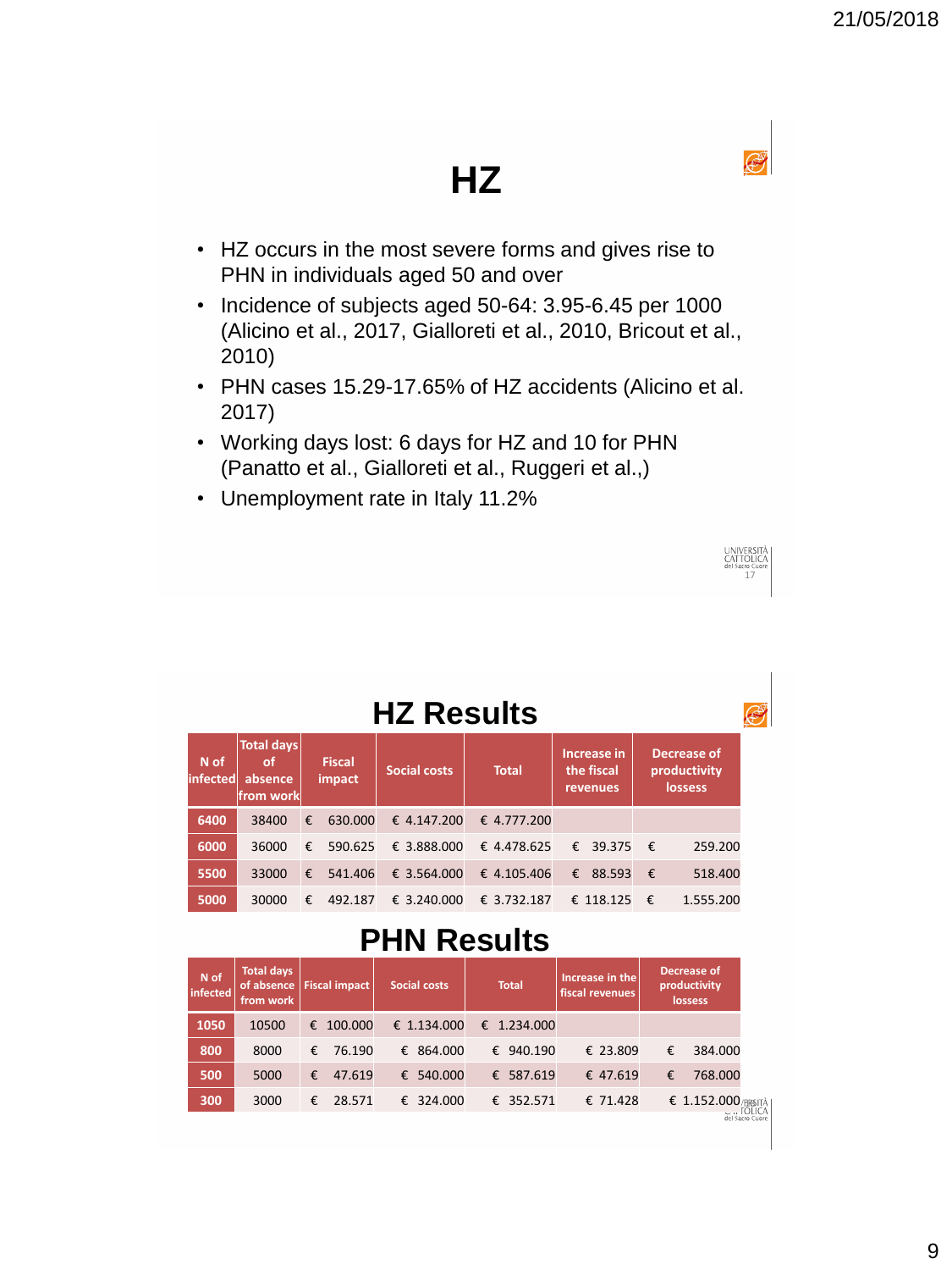UNIVERSITÀ<br>CATTOLICA<br>del Sacro Guore<br>17

## **HZ**

- HZ occurs in the most severe forms and gives rise to PHN in individuals aged 50 and over
- Incidence of subjects aged 50-64: 3.95-6.45 per 1000 (Alicino et al., 2017, Gialloreti et al., 2010, Bricout et al., 2010)
- PHN cases 15.29-17.65% of HZ accidents (Alicino et al. 2017)
- Working days lost: 6 days for HZ and 10 for PHN (Panatto et al., Gialloreti et al., Ruggeri et al.,)
- Unemployment rate in Italy 11.2%

|                    | .<br>æ                                           |   |                         |                     |              |   |                                       |            |                                               |  |  |  |
|--------------------|--------------------------------------------------|---|-------------------------|---------------------|--------------|---|---------------------------------------|------------|-----------------------------------------------|--|--|--|
| N of<br>linfectedl | <b>Total days</b><br>of<br>absence<br> from work |   | <b>Fiscal</b><br>impact | <b>Social costs</b> | <b>Total</b> |   | Increase in<br>the fiscal<br>revenues |            | Decrease of<br>productivity<br><b>lossess</b> |  |  |  |
| 6400               | 38400                                            | € | 630,000                 | € 4.147.200         | € 4.777.200  |   |                                       |            |                                               |  |  |  |
| 6000               | 36000                                            | € | 590.625                 | € 3.888,000         | € 4.478.625  |   | € 39.375                              | €          | 259,200                                       |  |  |  |
| 5500               | 33000                                            | € | 541.406                 | € 3.564.000         | € 4.105.406  | € | 88.593                                | $\epsilon$ | 518.400                                       |  |  |  |
| 5000               | 30000                                            | € | 492.187                 | € 3.240.000         | € 3.732.187  |   | € 118.125                             | €          | 1.555.200                                     |  |  |  |

**HZ Results**

### **PHN Results**

|      | from work |              | of absence   Fiscal impact<br>Social costs | <b>Total</b> | Increase in the<br>fiscal revenues |   | productivity<br>lossess |
|------|-----------|--------------|--------------------------------------------|--------------|------------------------------------|---|-------------------------|
| 1050 | 10500     | 100,000<br>€ | € 1.134.000                                | € 1.234,000  |                                    |   |                         |
| 800  | 8000      | 76.190<br>€  | € 864,000                                  | € 940.190    | € 23.809                           | € | 384.000                 |
| 500  | 5000      | €<br>47.619  | € 540,000                                  | € 587.619    | € 47.619                           | € | 768,000                 |
| 300  | 3000      | 28.571<br>€  | € 324,000                                  | € 352.571    | € 71.428                           |   | $$1.152.000$ /ERSITÀ    |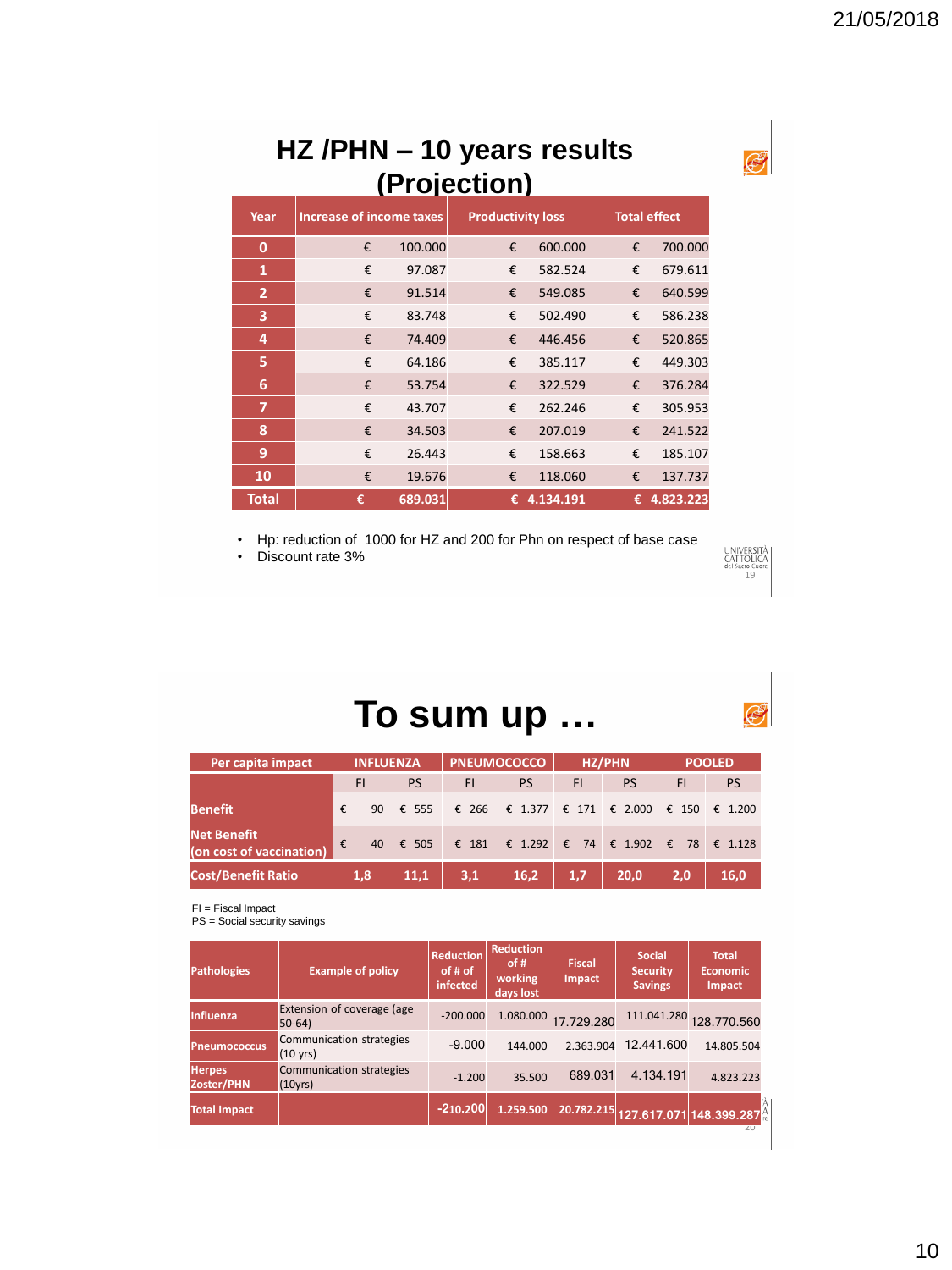#### **HZ /PHN – 10 years results (Projection)**

| Year           | Increase of income taxes |         | <b>Productivity loss</b> |           |   | <b>Total effect</b> |
|----------------|--------------------------|---------|--------------------------|-----------|---|---------------------|
| $\bf{0}$       | €                        | 100.000 | €                        | 600.000   | € | 700.000             |
| 1              | €                        | 97.087  | €                        | 582.524   | € | 679.611             |
| $\overline{2}$ | €                        | 91.514  | €                        | 549.085   | € | 640.599             |
| 3              | €                        | 83.748  | €                        | 502.490   | € | 586.238             |
| 4              | €                        | 74.409  | €                        | 446.456   | € | 520.865             |
| 5              | €                        | 64.186  | €                        | 385.117   | € | 449.303             |
| 6              | €                        | 53.754  | €                        | 322.529   | € | 376.284             |
| $\overline{7}$ | €                        | 43.707  | €                        | 262.246   | € | 305.953             |
| 8              | €                        | 34.503  | €                        | 207.019   | € | 241.522             |
| 9              | €                        | 26.443  | €                        | 158.663   | € | 185.107             |
| 10             | €                        | 19.676  | €                        | 118.060   | € | 137.737             |
| <b>Total</b>   | €                        | 689.031 | €                        | 4.134.191 | € | 4.823.223           |

• Hp: reduction of 1000 for HZ and 200 for Phn on respect of base case

• Discount rate 3%



### **To sum up …**

| Per capita impact                              | <b>INFLUENZA</b> |           | <b>PNEUMOCOCCO</b> |                                         | HZ/PHN |      | <b>POOLED</b>  |                  |
|------------------------------------------------|------------------|-----------|--------------------|-----------------------------------------|--------|------|----------------|------------------|
|                                                | FI               | <b>PS</b> | F1                 | <b>PS</b>                               | FI     | PS   | FI             | <b>PS</b>        |
| <b>Benefit</b>                                 | €<br>90          | € 555     |                    | € 266 € 1.377 € 171 € 2.000             |        |      | $\epsilon$ 150 | $\epsilon$ 1.200 |
| <b>Net Benefit</b><br>(on cost of vaccination) | €                | 40 € 505  |                    | € 181 € 1.292 € 74 € 1.902 € 78 € 1.128 |        |      |                |                  |
| <b>Cost/Benefit Ratio</b>                      | 1,8              | 11,1      | 3,1                | 16,2                                    | 1,7    | 20.0 | 2,0            | 16.0             |

FI = Fiscal Impact

PS = Social security savings

| <b>Pathologies</b>          | <b>Example of policy</b>                       | <b>Reduction</b><br>of # of<br>infected | <b>Reduction</b><br>of #<br>working<br>days lost | <b>Fiscal</b><br><b>Impact</b> | <b>Social</b><br><b>Security</b><br><b>Savings</b> | <b>Total</b><br><b>Economic</b><br><b>Impact</b> |
|-----------------------------|------------------------------------------------|-----------------------------------------|--------------------------------------------------|--------------------------------|----------------------------------------------------|--------------------------------------------------|
| Influenza                   | Extension of coverage (age<br>$50-64$          | $-200.000$                              | 1.080.000                                        | 17.729.280                     |                                                    | 111.041.280 128.770.560                          |
| <b>Pneumococcus</b>         | Communication strategies<br>$(10 \text{ yrs})$ | $-9.000$                                | 144,000                                          | 2.363.904                      | 12.441.600                                         | 14.805.504                                       |
| <b>Herpes</b><br>Zoster/PHN | Communication strategies<br>(10yrs)            | $-1.200$                                | 35.500                                           | 689.031                        | 4.134.191                                          | 4.823.223                                        |
| <b>Total Impact</b>         |                                                | $-210.200$                              | 1.259.500                                        |                                |                                                    | 20.782.215 127.617.071 148.399.287<br>2U         |